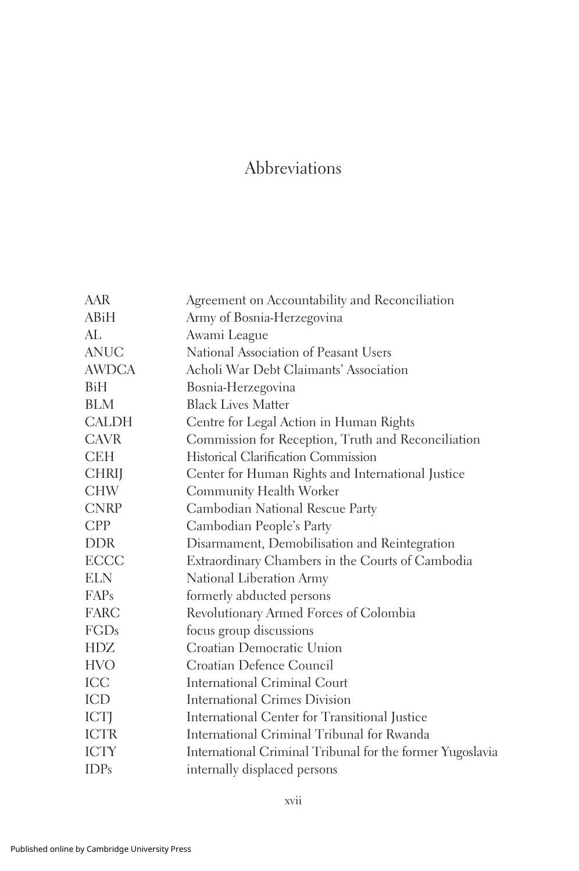## Abbreviations

| AAR          | Agreement on Accountability and Reconciliation            |
|--------------|-----------------------------------------------------------|
| ABiH         | Army of Bosnia-Herzegovina                                |
| AL           | Awami League                                              |
| <b>ANUC</b>  | National Association of Peasant Users                     |
| <b>AWDCA</b> | Acholi War Debt Claimants' Association                    |
| BiH          | Bosnia-Herzegovina                                        |
| BLM          | <b>Black Lives Matter</b>                                 |
| <b>CALDH</b> | Centre for Legal Action in Human Rights                   |
| <b>CAVR</b>  | Commission for Reception, Truth and Reconciliation        |
| <b>CEH</b>   | Historical Clarification Commission                       |
| <b>CHRIJ</b> | Center for Human Rights and International Justice         |
| <b>CHW</b>   | Community Health Worker                                   |
| <b>CNRP</b>  | Cambodian National Rescue Party                           |
| <b>CPP</b>   | Cambodian People's Party                                  |
| <b>DDR</b>   | Disarmament, Demobilisation and Reintegration             |
| <b>ECCC</b>  | Extraordinary Chambers in the Courts of Cambodia          |
| <b>ELN</b>   | National Liberation Army                                  |
| FAPs         | formerly abducted persons                                 |
| <b>FARC</b>  | Revolutionary Armed Forces of Colombia                    |
| <b>FGDs</b>  | focus group discussions                                   |
| HDZ          | Croatian Democratic Union                                 |
| <b>HVO</b>   | Croatian Defence Council                                  |
| ICC          | <b>International Criminal Court</b>                       |
| ICD          | <b>International Crimes Division</b>                      |
| <b>ICTJ</b>  | International Center for Transitional Justice             |
| <b>ICTR</b>  | International Criminal Tribunal for Rwanda                |
| <b>ICTY</b>  | International Criminal Tribunal for the former Yugoslavia |
| <b>IDPs</b>  | internally displaced persons                              |
|              |                                                           |